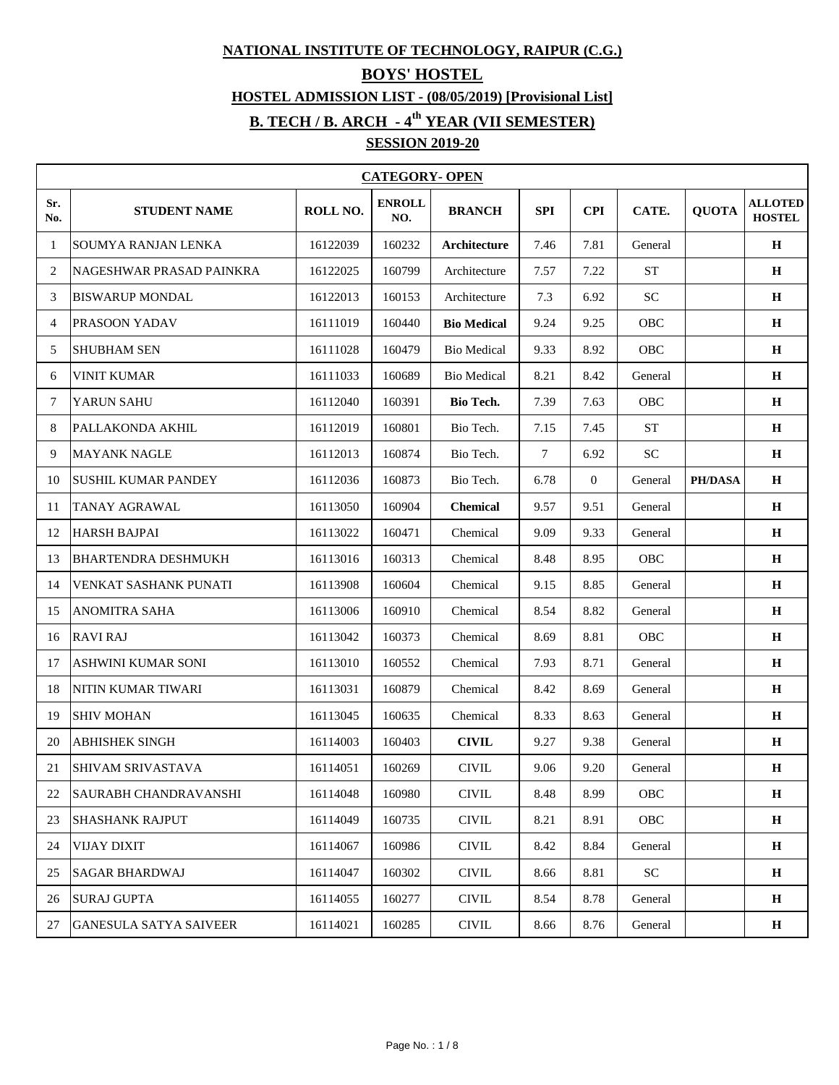#### **NATIONAL INSTITUTE OF TECHNOLOGY, RAIPUR (C.G.)**

### **BOYS' HOSTEL**

## **HOSTEL ADMISSION LIST - (08/05/2019) [Provisional List]**

## **B. TECH / B. ARCH - 4th YEAR (VII SEMESTER)**

# **SESSION 2019-20**

|                | <b>CATEGORY- OPEN</b>         |          |                      |                    |            |                |            |                |                                 |  |  |
|----------------|-------------------------------|----------|----------------------|--------------------|------------|----------------|------------|----------------|---------------------------------|--|--|
| Sr.<br>No.     | <b>STUDENT NAME</b>           | ROLL NO. | <b>ENROLL</b><br>NO. | <b>BRANCH</b>      | <b>SPI</b> | <b>CPI</b>     | CATE.      | <b>QUOTA</b>   | <b>ALLOTED</b><br><b>HOSTEL</b> |  |  |
| -1             | SOUMYA RANJAN LENKA           | 16122039 | 160232               | Architecture       | 7.46       | 7.81           | General    |                | $\mathbf H$                     |  |  |
| 2              | NAGESHWAR PRASAD PAINKRA      | 16122025 | 160799               | Architecture       | 7.57       | 7.22           | <b>ST</b>  |                | Н                               |  |  |
| 3              | <b>BISWARUP MONDAL</b>        | 16122013 | 160153               | Architecture       | 7.3        | 6.92           | <b>SC</b>  |                | H                               |  |  |
| $\overline{4}$ | PRASOON YADAV                 | 16111019 | 160440               | <b>Bio Medical</b> | 9.24       | 9.25           | OBC        |                | H                               |  |  |
| 5              | <b>SHUBHAM SEN</b>            | 16111028 | 160479               | <b>Bio Medical</b> | 9.33       | 8.92           | OBC        |                | $\mathbf H$                     |  |  |
| 6              | <b>VINIT KUMAR</b>            | 16111033 | 160689               | <b>Bio Medical</b> | 8.21       | 8.42           | General    |                | H                               |  |  |
| 7              | YARUN SAHU                    | 16112040 | 160391               | Bio Tech.          | 7.39       | 7.63           | OBC        |                | H                               |  |  |
| 8              | PALLAKONDA AKHIL              | 16112019 | 160801               | Bio Tech.          | 7.15       | 7.45           | <b>ST</b>  |                | $\mathbf H$                     |  |  |
| 9              | <b>MAYANK NAGLE</b>           | 16112013 | 160874               | Bio Tech.          | $\tau$     | 6.92           | <b>SC</b>  |                | H                               |  |  |
| 10             | <b>SUSHIL KUMAR PANDEY</b>    | 16112036 | 160873               | Bio Tech.          | 6.78       | $\overline{0}$ | General    | <b>PH/DASA</b> | H                               |  |  |
| 11             | TANAY AGRAWAL                 | 16113050 | 160904               | <b>Chemical</b>    | 9.57       | 9.51           | General    |                | H                               |  |  |
| 12             | <b>HARSH BAJPAI</b>           | 16113022 | 160471               | Chemical           | 9.09       | 9.33           | General    |                | $\mathbf H$                     |  |  |
| 13             | <b>BHARTENDRA DESHMUKH</b>    | 16113016 | 160313               | Chemical           | 8.48       | 8.95           | OBC        |                | $\mathbf H$                     |  |  |
| 14             | VENKAT SASHANK PUNATI         | 16113908 | 160604               | Chemical           | 9.15       | 8.85           | General    |                | H                               |  |  |
| 15             | <b>ANOMITRA SAHA</b>          | 16113006 | 160910               | Chemical           | 8.54       | 8.82           | General    |                | $\mathbf H$                     |  |  |
| 16             | <b>RAVI RAJ</b>               | 16113042 | 160373               | Chemical           | 8.69       | 8.81           | OBC        |                | $\mathbf H$                     |  |  |
| 17             | ASHWINI KUMAR SONI            | 16113010 | 160552               | Chemical           | 7.93       | 8.71           | General    |                | H                               |  |  |
| 18             | NITIN KUMAR TIWARI            | 16113031 | 160879               | Chemical           | 8.42       | 8.69           | General    |                | $\mathbf H$                     |  |  |
| 19             | <b>SHIV MOHAN</b>             | 16113045 | 160635               | Chemical           | 8.33       | 8.63           | General    |                | $\mathbf H$                     |  |  |
| 20             | <b>ABHISHEK SINGH</b>         | 16114003 | 160403               | <b>CIVIL</b>       | 9.27       | 9.38           | General    |                | H                               |  |  |
| 21             | <b>SHIVAM SRIVASTAVA</b>      | 16114051 | 160269               | <b>CIVIL</b>       | 9.06       | 9.20           | General    |                | $\mathbf H$                     |  |  |
| 22             | <b>SAURABH CHANDRAVANSHI</b>  | 16114048 | 160980               | $\text{CIVIL}$     | 8.48       | 8.99           | OBC        |                | $\mathbf H$                     |  |  |
| 23             | <b>SHASHANK RAJPUT</b>        | 16114049 | 160735               | <b>CIVIL</b>       | 8.21       | 8.91           | OBC        |                | $\, {\bf H}$                    |  |  |
| 24             | <b>VIJAY DIXIT</b>            | 16114067 | 160986               | <b>CIVIL</b>       | 8.42       | 8.84           | General    |                | $\mathbf H$                     |  |  |
| 25             | <b>SAGAR BHARDWAJ</b>         | 16114047 | 160302               | <b>CIVIL</b>       | 8.66       | 8.81           | ${\rm SC}$ |                | $\mathbf H$                     |  |  |
| 26             | <b>SURAJ GUPTA</b>            | 16114055 | 160277               | <b>CIVIL</b>       | 8.54       | 8.78           | General    |                | $\mathbf H$                     |  |  |
| 27             | <b>GANESULA SATYA SAIVEER</b> | 16114021 | 160285               | $\text{CIVIL}$     | 8.66       | 8.76           | General    |                | $\, {\bf H}$                    |  |  |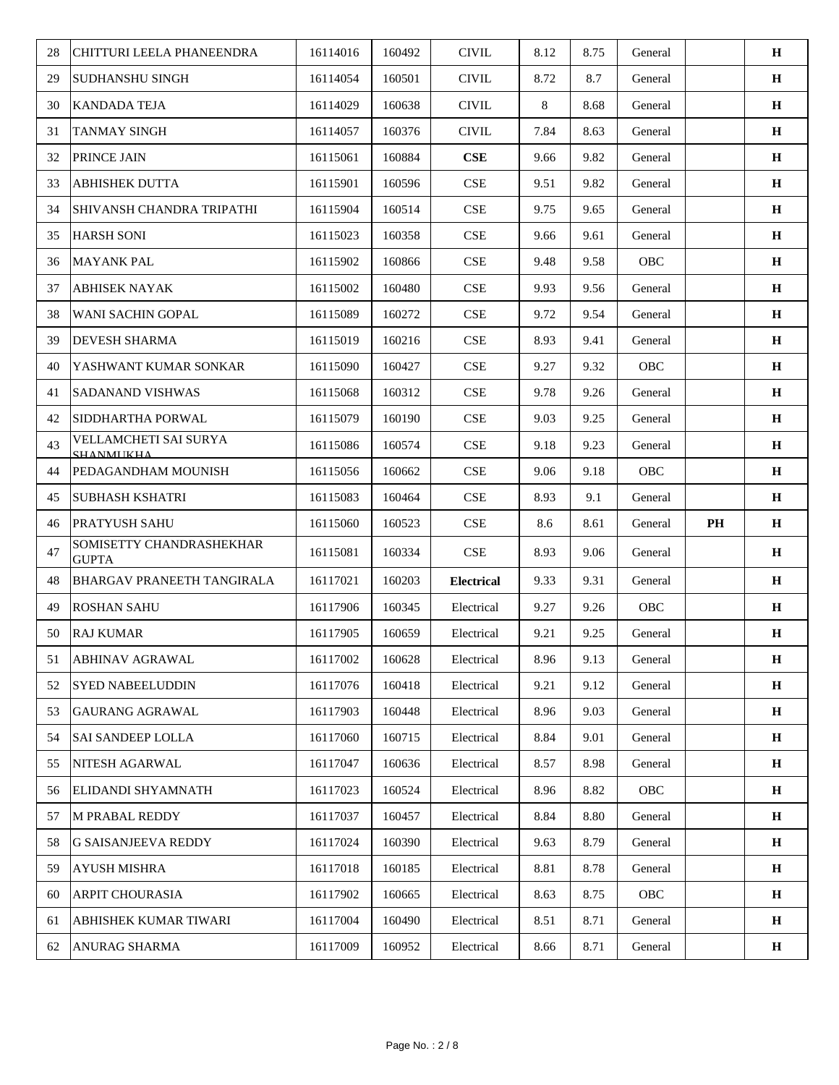| 28 | CHITTURI LEELA PHANEENDRA                        | 16114016 | 160492 | $\text{CIVIL}$    | 8.12 | 8.75 | General |    | $\mathbf H$  |
|----|--------------------------------------------------|----------|--------|-------------------|------|------|---------|----|--------------|
| 29 | <b>SUDHANSHU SINGH</b>                           | 16114054 | 160501 | <b>CIVIL</b>      | 8.72 | 8.7  | General |    | $\mathbf H$  |
| 30 | <b>KANDADA TEJA</b>                              | 16114029 | 160638 | <b>CIVIL</b>      | 8    | 8.68 | General |    | $\mathbf H$  |
| 31 | <b>TANMAY SINGH</b>                              | 16114057 | 160376 | <b>CIVIL</b>      | 7.84 | 8.63 | General |    | $\mathbf H$  |
| 32 | PRINCE JAIN                                      | 16115061 | 160884 | CSE               | 9.66 | 9.82 | General |    | $\, {\bf H}$ |
| 33 | <b>ABHISHEK DUTTA</b>                            | 16115901 | 160596 | <b>CSE</b>        | 9.51 | 9.82 | General |    | $\, {\bf H}$ |
| 34 | <b>SHIVANSH CHANDRA TRIPATHI</b>                 | 16115904 | 160514 | <b>CSE</b>        | 9.75 | 9.65 | General |    | $\mathbf H$  |
| 35 | <b>HARSH SONI</b>                                | 16115023 | 160358 | CSE               | 9.66 | 9.61 | General |    | $\mathbf H$  |
| 36 | <b>MAYANK PAL</b>                                | 16115902 | 160866 | <b>CSE</b>        | 9.48 | 9.58 | OBC     |    | $\mathbf H$  |
| 37 | <b>ABHISEK NAYAK</b>                             | 16115002 | 160480 | <b>CSE</b>        | 9.93 | 9.56 | General |    | $\mathbf H$  |
| 38 | <b>WANI SACHIN GOPAL</b>                         | 16115089 | 160272 | CSE               | 9.72 | 9.54 | General |    | $\, {\bf H}$ |
| 39 | <b>DEVESH SHARMA</b>                             | 16115019 | 160216 | <b>CSE</b>        | 8.93 | 9.41 | General |    | $\mathbf H$  |
| 40 | YASHWANT KUMAR SONKAR                            | 16115090 | 160427 | CSE               | 9.27 | 9.32 | OBC     |    | $\mathbf H$  |
| 41 | <b>SADANAND VISHWAS</b>                          | 16115068 | 160312 | CSE               | 9.78 | 9.26 | General |    | $\mathbf H$  |
| 42 | SIDDHARTHA PORWAL                                | 16115079 | 160190 | <b>CSE</b>        | 9.03 | 9.25 | General |    | $\mathbf H$  |
| 43 | VELLAMCHETI SAI SURYA<br><b><i>SHANMUKHA</i></b> | 16115086 | 160574 | <b>CSE</b>        | 9.18 | 9.23 | General |    | $\mathbf H$  |
| 44 | PEDAGANDHAM MOUNISH                              | 16115056 | 160662 | CSE               | 9.06 | 9.18 | OBC     |    | $\mathbf H$  |
| 45 | <b>SUBHASH KSHATRI</b>                           | 16115083 | 160464 | <b>CSE</b>        | 8.93 | 9.1  | General |    | $\, {\bf H}$ |
| 46 | <b>PRATYUSH SAHU</b>                             | 16115060 | 160523 | <b>CSE</b>        | 8.6  | 8.61 | General | PH | $\mathbf H$  |
| 47 | SOMISETTY CHANDRASHEKHAR<br><b>GUPTA</b>         | 16115081 | 160334 | <b>CSE</b>        | 8.93 | 9.06 | General |    | $\mathbf H$  |
| 48 | <b>BHARGAV PRANEETH TANGIRALA</b>                | 16117021 | 160203 | <b>Electrical</b> | 9.33 | 9.31 | General |    | $\, {\bf H}$ |
| 49 | <b>ROSHAN SAHU</b>                               | 16117906 | 160345 | Electrical        | 9.27 | 9.26 | OBC     |    | $\mathbf H$  |
| 50 | <b>RAJ KUMAR</b>                                 | 16117905 | 160659 | Electrical        | 9.21 | 9.25 | General |    | $\bf H$      |
| 51 | <b>ABHINAV AGRAWAL</b>                           | 16117002 | 160628 | Electrical        | 8.96 | 9.13 | General |    | $\mathbf H$  |
| 52 | <b>SYED NABEELUDDIN</b>                          | 16117076 | 160418 | Electrical        | 9.21 | 9.12 | General |    | $\mathbf H$  |
| 53 | <b>GAURANG AGRAWAL</b>                           | 16117903 | 160448 | Electrical        | 8.96 | 9.03 | General |    | $\mathbf H$  |
| 54 | <b>SAI SANDEEP LOLLA</b>                         | 16117060 | 160715 | Electrical        | 8.84 | 9.01 | General |    | $\, {\bf H}$ |
| 55 | NITESH AGARWAL                                   | 16117047 | 160636 | Electrical        | 8.57 | 8.98 | General |    | H            |
| 56 | ELIDANDI SHYAMNATH                               | 16117023 | 160524 | Electrical        | 8.96 | 8.82 | OBC     |    | H            |
| 57 | M PRABAL REDDY                                   | 16117037 | 160457 | Electrical        | 8.84 | 8.80 | General |    | $\, {\bf H}$ |
| 58 | <b>G SAISANJEEVA REDDY</b>                       | 16117024 | 160390 | Electrical        | 9.63 | 8.79 | General |    | $\, {\bf H}$ |
| 59 | <b>AYUSH MISHRA</b>                              | 16117018 | 160185 | Electrical        | 8.81 | 8.78 | General |    | $\mathbf H$  |
| 60 | ARPIT CHOURASIA                                  | 16117902 | 160665 | Electrical        | 8.63 | 8.75 | OBC     |    | H            |
| 61 | <b>ABHISHEK KUMAR TIWARI</b>                     | 16117004 | 160490 | Electrical        | 8.51 | 8.71 | General |    | $\mathbf H$  |
| 62 | ANURAG SHARMA                                    | 16117009 | 160952 | Electrical        | 8.66 | 8.71 | General |    | $\, {\bf H}$ |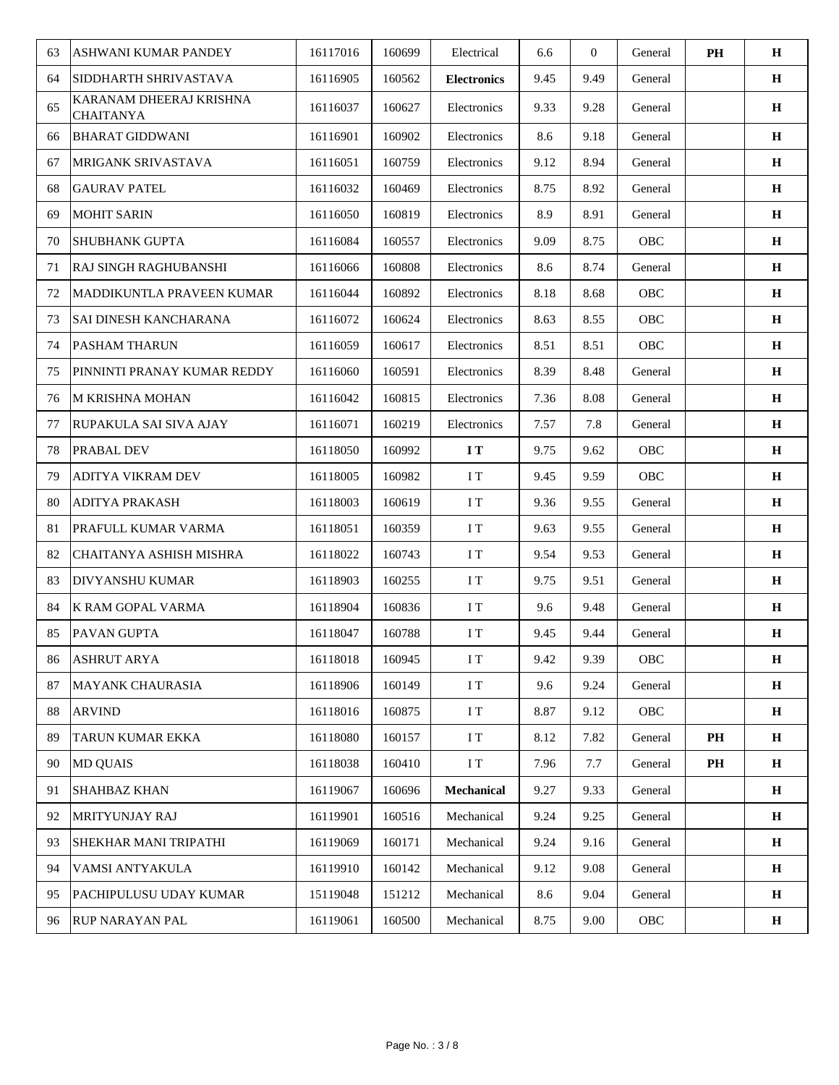| 63 | ASHWANI KUMAR PANDEY                        | 16117016 | 160699 | Electrical         | 6.6  | $\overline{0}$ | General     | PH | $\mathbf H$ |
|----|---------------------------------------------|----------|--------|--------------------|------|----------------|-------------|----|-------------|
| 64 | SIDDHARTH SHRIVASTAVA                       | 16116905 | 160562 | <b>Electronics</b> | 9.45 | 9.49           | General     |    | $\mathbf H$ |
| 65 | KARANAM DHEERAJ KRISHNA<br><b>CHAITANYA</b> | 16116037 | 160627 | Electronics        | 9.33 | 9.28           | General     |    | $\mathbf H$ |
| 66 | <b>BHARAT GIDDWANI</b>                      | 16116901 | 160902 | Electronics        | 8.6  | 9.18           | General     |    | $\mathbf H$ |
| 67 | MRIGANK SRIVASTAVA                          | 16116051 | 160759 | Electronics        | 9.12 | 8.94           | General     |    | $\mathbf H$ |
| 68 | <b>GAURAV PATEL</b>                         | 16116032 | 160469 | Electronics        | 8.75 | 8.92           | General     |    | $\mathbf H$ |
| 69 | <b>MOHIT SARIN</b>                          | 16116050 | 160819 | Electronics        | 8.9  | 8.91           | General     |    | H           |
| 70 | <b>SHUBHANK GUPTA</b>                       | 16116084 | 160557 | Electronics        | 9.09 | 8.75           | OBC         |    | $\mathbf H$ |
| 71 | RAJ SINGH RAGHUBANSHI                       | 16116066 | 160808 | Electronics        | 8.6  | 8.74           | General     |    | $\mathbf H$ |
| 72 | MADDIKUNTLA PRAVEEN KUMAR                   | 16116044 | 160892 | Electronics        | 8.18 | 8.68           | OBC         |    | H           |
| 73 | SAI DINESH KANCHARANA                       | 16116072 | 160624 | Electronics        | 8.63 | 8.55           | OBC         |    | $\mathbf H$ |
| 74 | <b>PASHAM THARUN</b>                        | 16116059 | 160617 | Electronics        | 8.51 | 8.51           | OBC         |    | $\mathbf H$ |
| 75 | PINNINTI PRANAY KUMAR REDDY                 | 16116060 | 160591 | Electronics        | 8.39 | 8.48           | General     |    | $\mathbf H$ |
| 76 | M KRISHNA MOHAN                             | 16116042 | 160815 | Electronics        | 7.36 | 8.08           | General     |    | $\mathbf H$ |
| 77 | RUPAKULA SAI SIVA AJAY                      | 16116071 | 160219 | Electronics        | 7.57 | 7.8            | General     |    | $\mathbf H$ |
| 78 | PRABAL DEV                                  | 16118050 | 160992 | I T                | 9.75 | 9.62           | OBC         |    | $\mathbf H$ |
| 79 | <b>ADITYA VIKRAM DEV</b>                    | 16118005 | 160982 | I T                | 9.45 | 9.59           | OBC         |    | H           |
| 80 | <b>ADITYA PRAKASH</b>                       | 16118003 | 160619 | I T                | 9.36 | 9.55           | General     |    | $\mathbf H$ |
| 81 | PRAFULL KUMAR VARMA                         | 16118051 | 160359 | I T                | 9.63 | 9.55           | General     |    | $\mathbf H$ |
| 82 | CHAITANYA ASHISH MISHRA                     | 16118022 | 160743 | I T                | 9.54 | 9.53           | General     |    | $\mathbf H$ |
| 83 | DIVYANSHU KUMAR                             | 16118903 | 160255 | I T                | 9.75 | 9.51           | General     |    | H           |
| 84 | K RAM GOPAL VARMA                           | 16118904 | 160836 | I T                | 9.6  | 9.48           | General     |    | $\mathbf H$ |
| 85 | PAVAN GUPTA                                 | 16118047 | 160788 | I T                | 9.45 | 9.44           | General     |    | $\bf H$     |
| 86 | <b>ASHRUT ARYA</b>                          | 16118018 | 160945 | I T                | 9.42 | 9.39           | OBC         |    | $\mathbf H$ |
| 87 | <b>MAYANK CHAURASIA</b>                     | 16118906 | 160149 | I T                | 9.6  | 9.24           | General     |    | $\bf H$     |
| 88 | <b>ARVIND</b>                               | 16118016 | 160875 | I T                | 8.87 | 9.12           | ${\rm OBC}$ |    | $\mathbf H$ |
| 89 | TARUN KUMAR EKKA                            | 16118080 | 160157 | I T                | 8.12 | 7.82           | General     | PH | $\mathbf H$ |
| 90 | <b>MD QUAIS</b>                             | 16118038 | 160410 | I T                | 7.96 | 7.7            | General     | PH | H           |
| 91 | SHAHBAZ KHAN                                | 16119067 | 160696 | <b>Mechanical</b>  | 9.27 | 9.33           | General     |    | H           |
| 92 | MRITYUNJAY RAJ                              | 16119901 | 160516 | Mechanical         | 9.24 | 9.25           | General     |    | $\mathbf H$ |
| 93 | SHEKHAR MANI TRIPATHI                       | 16119069 | 160171 | Mechanical         | 9.24 | 9.16           | General     |    | $\mathbf H$ |
| 94 | VAMSI ANTYAKULA                             | 16119910 | 160142 | Mechanical         | 9.12 | 9.08           | General     |    | $\mathbf H$ |
| 95 | PACHIPULUSU UDAY KUMAR                      | 15119048 | 151212 | Mechanical         | 8.6  | 9.04           | General     |    | $\mathbf H$ |
| 96 | <b>RUP NARAYAN PAL</b>                      | 16119061 | 160500 | Mechanical         | 8.75 | 9.00           | ${\rm OBC}$ |    | $\mathbf H$ |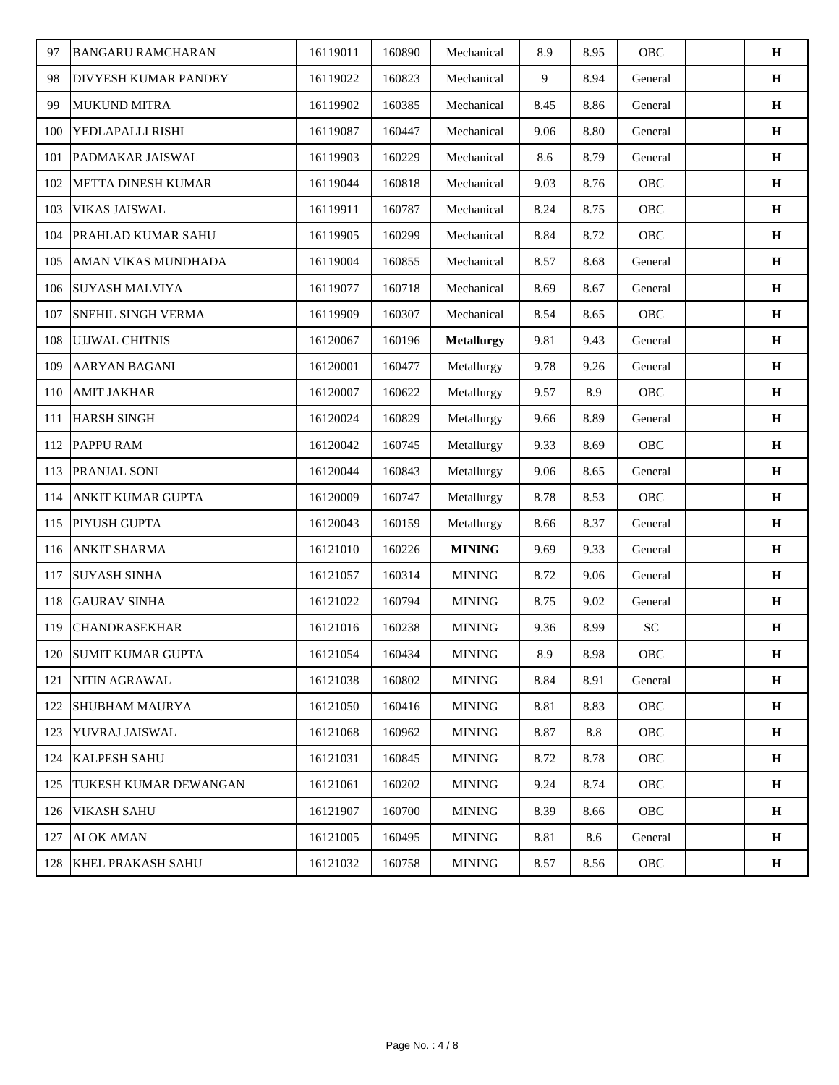| 97  | <b>BANGARU RAMCHARAN</b>     | 16119011 | 160890 | Mechanical        | 8.9  | 8.95 | OBC         | $\mathbf H$  |
|-----|------------------------------|----------|--------|-------------------|------|------|-------------|--------------|
| 98  | DIVYESH KUMAR PANDEY         | 16119022 | 160823 | Mechanical        | 9    | 8.94 | General     | $\bf H$      |
| 99  | <b>MUKUND MITRA</b>          | 16119902 | 160385 | Mechanical        | 8.45 | 8.86 | General     | $\mathbf H$  |
| 100 | YEDLAPALLI RISHI             | 16119087 | 160447 | Mechanical        | 9.06 | 8.80 | General     | $\mathbf H$  |
| 101 | PADMAKAR JAISWAL             | 16119903 | 160229 | Mechanical        | 8.6  | 8.79 | General     | $\mathbf H$  |
| 102 | <b>METTA DINESH KUMAR</b>    | 16119044 | 160818 | Mechanical        | 9.03 | 8.76 | OBC         | $\, {\bf H}$ |
| 103 | <b>VIKAS JAISWAL</b>         | 16119911 | 160787 | Mechanical        | 8.24 | 8.75 | OBC         | $\mathbf H$  |
| 104 | PRAHLAD KUMAR SAHU           | 16119905 | 160299 | Mechanical        | 8.84 | 8.72 | OBC         | $\, {\bf H}$ |
| 105 | AMAN VIKAS MUNDHADA          | 16119004 | 160855 | Mechanical        | 8.57 | 8.68 | General     | $\mathbf H$  |
| 106 | <b>SUYASH MALVIYA</b>        | 16119077 | 160718 | Mechanical        | 8.69 | 8.67 | General     | $\bf H$      |
| 107 | <b>SNEHIL SINGH VERMA</b>    | 16119909 | 160307 | Mechanical        | 8.54 | 8.65 | OBC         | $\mathbf H$  |
| 108 | UJJWAL CHITNIS               | 16120067 | 160196 | <b>Metallurgy</b> | 9.81 | 9.43 | General     | $\, {\bf H}$ |
| 109 | AARYAN BAGANI                | 16120001 | 160477 | Metallurgy        | 9.78 | 9.26 | General     | $\, {\bf H}$ |
| 110 | <b>AMIT JAKHAR</b>           | 16120007 | 160622 | Metallurgy        | 9.57 | 8.9  | OBC         | $\mathbf H$  |
| 111 | <b>HARSH SINGH</b>           | 16120024 | 160829 | Metallurgy        | 9.66 | 8.89 | General     | $\, {\bf H}$ |
| 112 | <b>PAPPU RAM</b>             | 16120042 | 160745 | Metallurgy        | 9.33 | 8.69 | OBC         | H            |
| 113 | PRANJAL SONI                 | 16120044 | 160843 | Metallurgy        | 9.06 | 8.65 | General     | $\, {\bf H}$ |
| 114 | ANKIT KUMAR GUPTA            | 16120009 | 160747 | Metallurgy        | 8.78 | 8.53 | OBC         | $\mathbf H$  |
| 115 | PIYUSH GUPTA                 | 16120043 | 160159 | Metallurgy        | 8.66 | 8.37 | General     | $\, {\bf H}$ |
| 116 | <b>ANKIT SHARMA</b>          | 16121010 | 160226 | <b>MINING</b>     | 9.69 | 9.33 | General     | $\mathbf H$  |
| 117 | <b>SUYASH SINHA</b>          | 16121057 | 160314 | <b>MINING</b>     | 8.72 | 9.06 | General     | $\mathbf H$  |
| 118 | <b>GAURAV SINHA</b>          | 16121022 | 160794 | <b>MINING</b>     | 8.75 | 9.02 | General     | $\bf H$      |
| 119 | <b>CHANDRASEKHAR</b>         | 16121016 | 160238 | <b>MINING</b>     | 9.36 | 8.99 | ${\rm SC}$  | $\mathbf H$  |
|     | 120 SUMIT KUMAR GUPTA        | 16121054 | 160434 | <b>MINING</b>     | 8.9  | 8.98 | OBC         | $\mathbf H$  |
|     | 121 NITIN AGRAWAL            | 16121038 | 160802 | <b>MINING</b>     | 8.84 | 8.91 | General     | H            |
|     | 122 SHUBHAM MAURYA           | 16121050 | 160416 | <b>MINING</b>     | 8.81 | 8.83 | OBC         | H            |
|     | 123 YUVRAJ JAISWAL           | 16121068 | 160962 | <b>MINING</b>     | 8.87 | 8.8  | OBC         | $\mathbf H$  |
| 124 | <b>KALPESH SAHU</b>          | 16121031 | 160845 | <b>MINING</b>     | 8.72 | 8.78 | OBC         | $\mathbf H$  |
| 125 | <b>TUKESH KUMAR DEWANGAN</b> | 16121061 | 160202 | <b>MINING</b>     | 9.24 | 8.74 | OBC         | $\, {\bf H}$ |
|     | 126 VIKASH SAHU              | 16121907 | 160700 | <b>MINING</b>     | 8.39 | 8.66 | OBC         | $\, {\bf H}$ |
|     | 127 ALOK AMAN                | 16121005 | 160495 | <b>MINING</b>     | 8.81 | 8.6  | General     | H            |
|     | 128 KHEL PRAKASH SAHU        | 16121032 | 160758 | <b>MINING</b>     | 8.57 | 8.56 | ${\rm OBC}$ | $\, {\bf H}$ |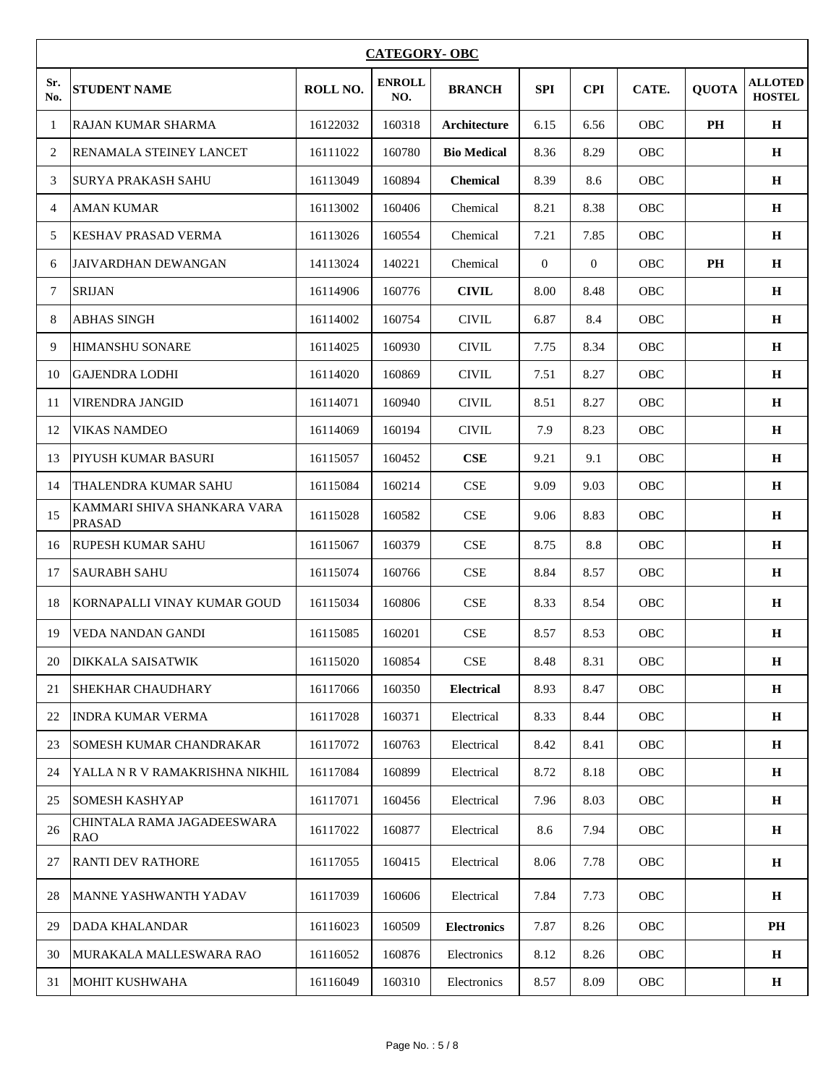|            | <b>CATEGORY- OBC</b>                         |          |                      |                    |                |                |            |              |                                 |  |
|------------|----------------------------------------------|----------|----------------------|--------------------|----------------|----------------|------------|--------------|---------------------------------|--|
| Sr.<br>No. | <b>STUDENT NAME</b>                          | ROLL NO. | <b>ENROLL</b><br>NO. | <b>BRANCH</b>      | <b>SPI</b>     | <b>CPI</b>     | CATE.      | <b>QUOTA</b> | <b>ALLOTED</b><br><b>HOSTEL</b> |  |
| -1         | <b>RAJAN KUMAR SHARMA</b>                    | 16122032 | 160318               | Architecture       | 6.15           | 6.56           | OBC        | PH           | $\mathbf H$                     |  |
| 2          | RENAMALA STEINEY LANCET                      | 16111022 | 160780               | <b>Bio Medical</b> | 8.36           | 8.29           | OBC        |              | $\mathbf H$                     |  |
| 3          | SURYA PRAKASH SAHU                           | 16113049 | 160894               | <b>Chemical</b>    | 8.39           | 8.6            | OBC        |              | H                               |  |
| 4          | <b>AMAN KUMAR</b>                            | 16113002 | 160406               | Chemical           | 8.21           | 8.38           | OBC        |              | $\mathbf H$                     |  |
| 5          | <b>KESHAV PRASAD VERMA</b>                   | 16113026 | 160554               | Chemical           | 7.21           | 7.85           | OBC        |              | $\mathbf H$                     |  |
| 6          | <b>JAIVARDHAN DEWANGAN</b>                   | 14113024 | 140221               | Chemical           | $\overline{0}$ | $\overline{0}$ | OBC        | PH           | $\mathbf H$                     |  |
| 7          | <b>SRIJAN</b>                                | 16114906 | 160776               | <b>CIVIL</b>       | 8.00           | 8.48           | OBC        |              | $\mathbf H$                     |  |
| 8          | <b>ABHAS SINGH</b>                           | 16114002 | 160754               | <b>CIVIL</b>       | 6.87           | 8.4            | OBC        |              | $\mathbf H$                     |  |
| 9          | <b>HIMANSHU SONARE</b>                       | 16114025 | 160930               | <b>CIVIL</b>       | 7.75           | 8.34           | OBC        |              | $\mathbf H$                     |  |
| 10         | <b>GAJENDRA LODHI</b>                        | 16114020 | 160869               | <b>CIVIL</b>       | 7.51           | 8.27           | <b>OBC</b> |              | H                               |  |
| 11         | <b>VIRENDRA JANGID</b>                       | 16114071 | 160940               | <b>CIVIL</b>       | 8.51           | 8.27           | OBC        |              | $\mathbf H$                     |  |
| 12         | <b>VIKAS NAMDEO</b>                          | 16114069 | 160194               | <b>CIVIL</b>       | 7.9            | 8.23           | OBC        |              | $\mathbf H$                     |  |
| 13         | PIYUSH KUMAR BASURI                          | 16115057 | 160452               | <b>CSE</b>         | 9.21           | 9.1            | OBC        |              | $\mathbf H$                     |  |
| 14         | THALENDRA KUMAR SAHU                         | 16115084 | 160214               | <b>CSE</b>         | 9.09           | 9.03           | OBC        |              | $\mathbf H$                     |  |
| 15         | KAMMARI SHIVA SHANKARA VARA<br><b>PRASAD</b> | 16115028 | 160582               | CSE                | 9.06           | 8.83           | OBC        |              | $\mathbf H$                     |  |
| 16         | <b>RUPESH KUMAR SAHU</b>                     | 16115067 | 160379               | CSE                | 8.75           | 8.8            | OBC        |              | H                               |  |
| 17         | <b>SAURABH SAHU</b>                          | 16115074 | 160766               | <b>CSE</b>         | 8.84           | 8.57           | OBC        |              | H                               |  |
| 18         | KORNAPALLI VINAY KUMAR GOUD                  | 16115034 | 160806               | <b>CSE</b>         | 8.33           | 8.54           | <b>OBC</b> |              | $\mathbf H$                     |  |
| 19         | <b>VEDA NANDAN GANDI</b>                     | 16115085 | 160201               | CSE                | 8.57           | 8.53           | OBC        |              | $\mathbf H$                     |  |
| 20         | DIKKALA SAISATWIK                            | 16115020 | 160854               | CSE                | 8.48           | 8.31           | OBC        |              | $\mathbf H$                     |  |
| 21         | SHEKHAR CHAUDHARY                            | 16117066 | 160350               | <b>Electrical</b>  | 8.93           | 8.47           | OBC        |              | H                               |  |
| 22         | INDRA KUMAR VERMA                            | 16117028 | 160371               | Electrical         | 8.33           | 8.44           | OBC        |              | $\mathbf H$                     |  |
| 23         | SOMESH KUMAR CHANDRAKAR                      | 16117072 | 160763               | Electrical         | 8.42           | 8.41           | OBC        |              | H                               |  |
| 24         | YALLA N R V RAMAKRISHNA NIKHIL               | 16117084 | 160899               | Electrical         | 8.72           | 8.18           | OBC        |              | $\mathbf H$                     |  |
| 25         | <b>SOMESH KASHYAP</b>                        | 16117071 | 160456               | Electrical         | 7.96           | 8.03           | OBC        |              | $\mathbf H$                     |  |
| 26         | CHINTALA RAMA JAGADEESWARA<br><b>RAO</b>     | 16117022 | 160877               | Electrical         | 8.6            | 7.94           | OBC        |              | $\mathbf H$                     |  |
| 27         | <b>RANTI DEV RATHORE</b>                     | 16117055 | 160415               | Electrical         | 8.06           | 7.78           | OBC        |              | $\, {\bf H}$                    |  |
| 28         | <b>MANNE YASHWANTH YADAV</b>                 | 16117039 | 160606               | Electrical         | 7.84           | 7.73           | OBC        |              | $\mathbf H$                     |  |
| 29         | <b>DADA KHALANDAR</b>                        | 16116023 | 160509               | <b>Electronics</b> | 7.87           | 8.26           | OBC        |              | PH                              |  |
| 30         | MURAKALA MALLESWARA RAO                      | 16116052 | 160876               | Electronics        | 8.12           | 8.26           | OBC        |              | $\mathbf H$                     |  |
| 31         | <b>MOHIT KUSHWAHA</b>                        | 16116049 | 160310               | Electronics        | 8.57           | 8.09           | OBC        |              | $\mathbf H$                     |  |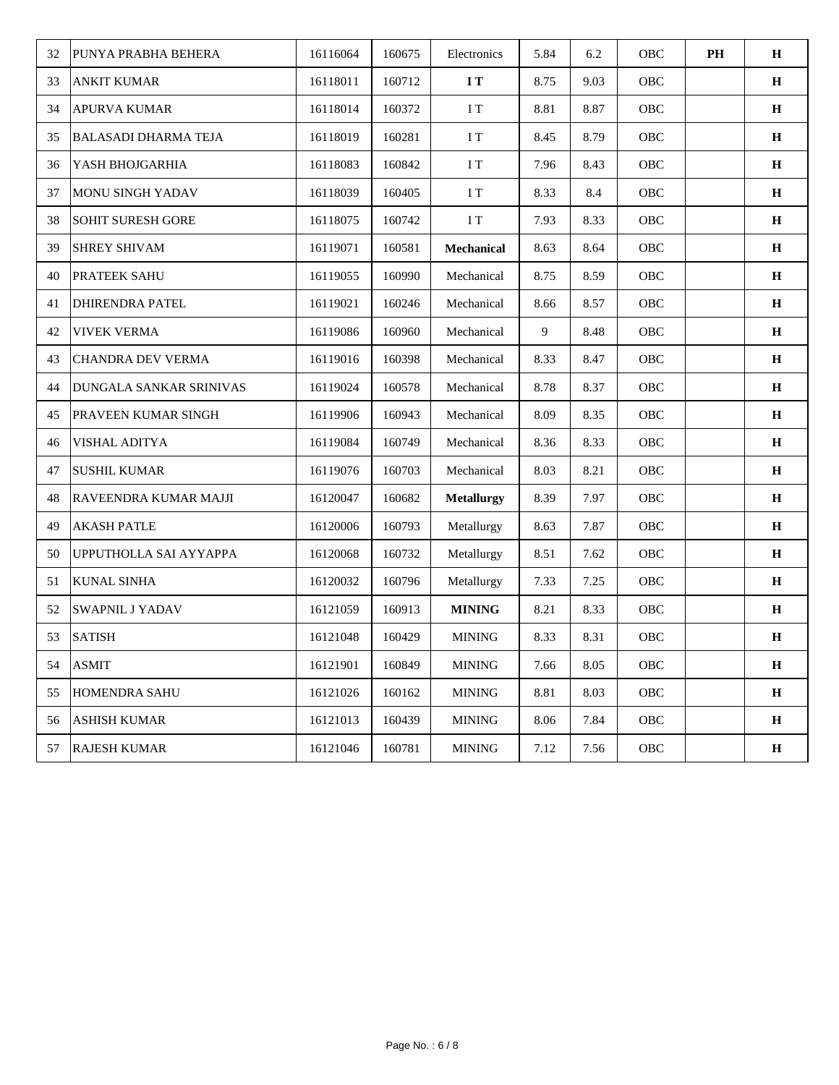| 32 | PUNYA PRABHA BEHERA            | 16116064 | 160675 | Electronics       | 5.84 | 6.2  | OBC         | PH | $\mathbf H$  |
|----|--------------------------------|----------|--------|-------------------|------|------|-------------|----|--------------|
| 33 | <b>ANKIT KUMAR</b>             | 16118011 | 160712 | $\bf I T$         | 8.75 | 9.03 | OBC         |    | $\mathbf H$  |
| 34 | <b>APURVA KUMAR</b>            | 16118014 | 160372 | $\rm I$ T         | 8.81 | 8.87 | OBC         |    | $\, {\bf H}$ |
| 35 | <b>BALASADI DHARMA TEJA</b>    | 16118019 | 160281 | $\rm I$ T         | 8.45 | 8.79 | OBC         |    | $\mathbf H$  |
| 36 | YASH BHOJGARHIA                | 16118083 | 160842 | I T               | 7.96 | 8.43 | OBC         |    | $\bf H$      |
| 37 | <b>MONU SINGH YADAV</b>        | 16118039 | 160405 | I T               | 8.33 | 8.4  | OBC         |    | $\, {\bf H}$ |
| 38 | <b>SOHIT SURESH GORE</b>       | 16118075 | 160742 | $\rm I~T$         | 7.93 | 8.33 | OBC         |    | $\, {\bf H}$ |
| 39 | <b>SHREY SHIVAM</b>            | 16119071 | 160581 | Mechanical        | 8.63 | 8.64 | OBC         |    | $\mathbf H$  |
| 40 | PRATEEK SAHU                   | 16119055 | 160990 | Mechanical        | 8.75 | 8.59 | OBC         |    | $\, {\bf H}$ |
| 41 | <b>DHIRENDRA PATEL</b>         | 16119021 | 160246 | Mechanical        | 8.66 | 8.57 | OBC         |    | $\mathbf H$  |
| 42 | <b>VIVEK VERMA</b>             | 16119086 | 160960 | Mechanical        | 9    | 8.48 | OBC         |    | $\, {\bf H}$ |
| 43 | CHANDRA DEV VERMA              | 16119016 | 160398 | Mechanical        | 8.33 | 8.47 | OBC         |    | $\mathbf H$  |
| 44 | <b>DUNGALA SANKAR SRINIVAS</b> | 16119024 | 160578 | Mechanical        | 8.78 | 8.37 | OBC         |    | $\, {\bf H}$ |
| 45 | PRAVEEN KUMAR SINGH            | 16119906 | 160943 | Mechanical        | 8.09 | 8.35 | OBC         |    | $\, {\bf H}$ |
| 46 | VISHAL ADITYA                  | 16119084 | 160749 | Mechanical        | 8.36 | 8.33 | OBC         |    | $\mathbf H$  |
| 47 | <b>SUSHIL KUMAR</b>            | 16119076 | 160703 | Mechanical        | 8.03 | 8.21 | OBC         |    | $\mathbf H$  |
| 48 | RAVEENDRA KUMAR MAJJI          | 16120047 | 160682 | <b>Metallurgy</b> | 8.39 | 7.97 | OBC         |    | $\, {\bf H}$ |
| 49 | <b>AKASH PATLE</b>             | 16120006 | 160793 | Metallurgy        | 8.63 | 7.87 | OBC         |    | $\, {\bf H}$ |
| 50 | UPPUTHOLLA SAI AYYAPPA         | 16120068 | 160732 | Metallurgy        | 8.51 | 7.62 | OBC         |    | $\, {\bf H}$ |
| 51 | <b>KUNAL SINHA</b>             | 16120032 | 160796 | Metallurgy        | 7.33 | 7.25 | OBC         |    | $\, {\bf H}$ |
| 52 | <b>SWAPNIL J YADAV</b>         | 16121059 | 160913 | <b>MINING</b>     | 8.21 | 8.33 | OBC         |    | $\, {\bf H}$ |
| 53 | <b>SATISH</b>                  | 16121048 | 160429 | <b>MINING</b>     | 8.33 | 8.31 | ${\rm OBC}$ |    | $\bf H$      |
| 54 | <b>ASMIT</b>                   | 16121901 | 160849 | <b>MINING</b>     | 7.66 | 8.05 | OBC         |    | $\mathbf H$  |
| 55 | HOMENDRA SAHU                  | 16121026 | 160162 | <b>MINING</b>     | 8.81 | 8.03 | OBC         |    | $\, {\bf H}$ |
| 56 | <b>ASHISH KUMAR</b>            | 16121013 | 160439 | <b>MINING</b>     | 8.06 | 7.84 | OBC         |    | $\, {\bf H}$ |
| 57 | <b>RAJESH KUMAR</b>            | 16121046 | 160781 | <b>MINING</b>     | 7.12 | 7.56 | OBC         |    | $\, {\bf H}$ |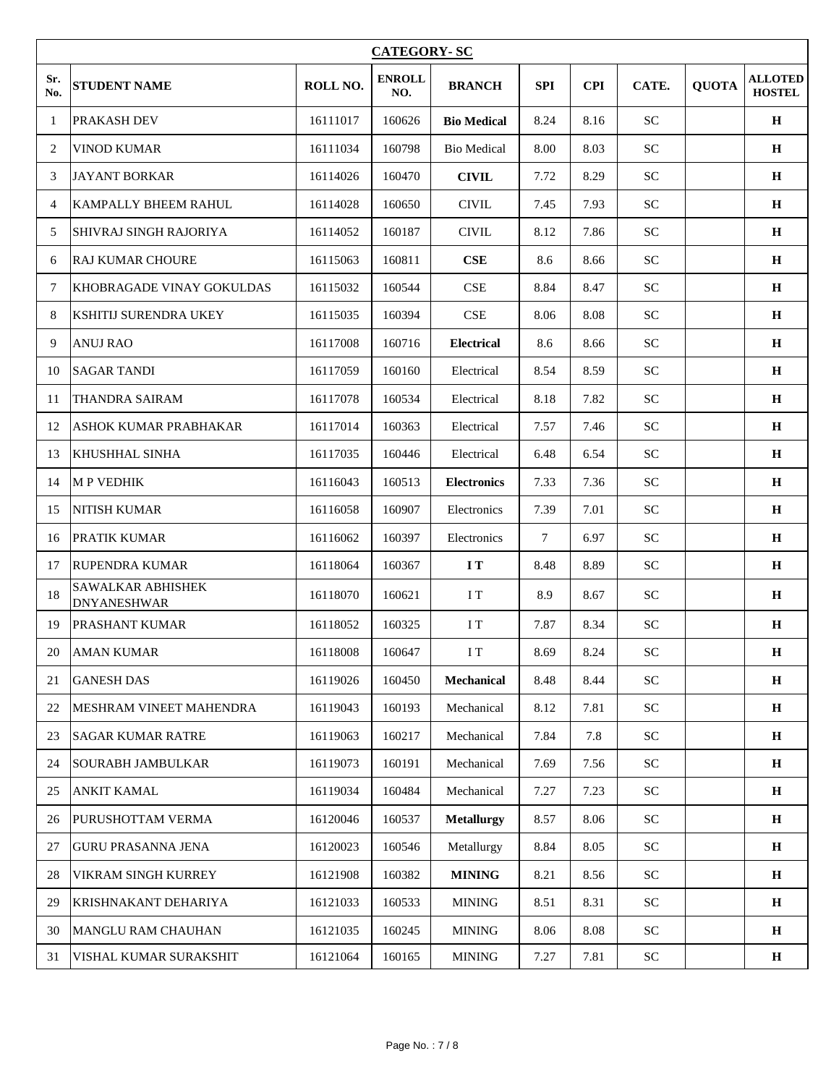|                | <b>CATEGORY-SC</b>                      |          |                      |                    |                |            |                            |              |                                 |  |
|----------------|-----------------------------------------|----------|----------------------|--------------------|----------------|------------|----------------------------|--------------|---------------------------------|--|
| Sr.<br>No.     | <b>STUDENT NAME</b>                     | ROLL NO. | <b>ENROLL</b><br>NO. | <b>BRANCH</b>      | <b>SPI</b>     | <b>CPI</b> | CATE.                      | <b>QUOTA</b> | <b>ALLOTED</b><br><b>HOSTEL</b> |  |
| -1             | PRAKASH DEV                             | 16111017 | 160626               | <b>Bio Medical</b> | 8.24           | 8.16       | <b>SC</b>                  |              | $\mathbf H$                     |  |
| 2              | <b>VINOD KUMAR</b>                      | 16111034 | 160798               | <b>Bio Medical</b> | 8.00           | 8.03       | SC                         |              | $\mathbf H$                     |  |
| 3              | <b>JAYANT BORKAR</b>                    | 16114026 | 160470               | <b>CIVIL</b>       | 7.72           | 8.29       | <b>SC</b>                  |              | $\mathbf H$                     |  |
| $\overline{4}$ | KAMPALLY BHEEM RAHUL                    | 16114028 | 160650               | <b>CIVIL</b>       | 7.45           | 7.93       | <b>SC</b>                  |              | $\mathbf H$                     |  |
| 5              | SHIVRAJ SINGH RAJORIYA                  | 16114052 | 160187               | <b>CIVIL</b>       | 8.12           | 7.86       | SC                         |              | $\mathbf H$                     |  |
| 6              | RAJ KUMAR CHOURE                        | 16115063 | 160811               | CSE                | 8.6            | 8.66       | <b>SC</b>                  |              | $\mathbf H$                     |  |
| 7              | KHOBRAGADE VINAY GOKULDAS               | 16115032 | 160544               | <b>CSE</b>         | 8.84           | 8.47       | <b>SC</b>                  |              | $\bf H$                         |  |
| 8              | <b>KSHITIJ SURENDRA UKEY</b>            | 16115035 | 160394               | CSE                | 8.06           | 8.08       | <b>SC</b>                  |              | $\, {\bf H}$                    |  |
| 9              | <b>ANUJ RAO</b>                         | 16117008 | 160716               | <b>Electrical</b>  | 8.6            | 8.66       | <b>SC</b>                  |              | $\mathbf H$                     |  |
| 10             | <b>SAGAR TANDI</b>                      | 16117059 | 160160               | Electrical         | 8.54           | 8.59       | <b>SC</b>                  |              | $\mathbf H$                     |  |
| 11             | <b>THANDRA SAIRAM</b>                   | 16117078 | 160534               | Electrical         | 8.18           | 7.82       | <b>SC</b>                  |              | $\mathbf H$                     |  |
| 12             | ASHOK KUMAR PRABHAKAR                   | 16117014 | 160363               | Electrical         | 7.57           | 7.46       | <b>SC</b>                  |              | $\mathbf H$                     |  |
| 13             | <b>KHUSHHAL SINHA</b>                   | 16117035 | 160446               | Electrical         | 6.48           | 6.54       | <b>SC</b>                  |              | $\mathbf H$                     |  |
| 14             | <b>MP VEDHIK</b>                        | 16116043 | 160513               | <b>Electronics</b> | 7.33           | 7.36       | <b>SC</b>                  |              | $\mathbf H$                     |  |
| 15             | <b>NITISH KUMAR</b>                     | 16116058 | 160907               | Electronics        | 7.39           | 7.01       | <b>SC</b>                  |              | $\mathbf H$                     |  |
| 16             | <b>PRATIK KUMAR</b>                     | 16116062 | 160397               | Electronics        | $\overline{7}$ | 6.97       | <b>SC</b>                  |              | $\mathbf H$                     |  |
| 17             | <b>RUPENDRA KUMAR</b>                   | 16118064 | 160367               | $\bf I$ T          | 8.48           | 8.89       | <b>SC</b>                  |              | $\mathbf H$                     |  |
| 18             | SAWALKAR ABHISHEK<br><b>DNYANESHWAR</b> | 16118070 | 160621               | I T                | 8.9            | 8.67       | <b>SC</b>                  |              | $\mathbf H$                     |  |
| 19             | PRASHANT KUMAR                          | 16118052 | 160325               | I T                | 7.87           | 8.34       | <b>SC</b>                  |              | $\mathbf H$                     |  |
| 20             | <b>AMAN KUMAR</b>                       | 16118008 | 160647               | $\rm I\,T$         | 8.69           | 8.24       | $\rm SC$                   |              | $\mathbf H$                     |  |
| 21             | <b>GANESH DAS</b>                       | 16119026 | 160450               | <b>Mechanical</b>  | 8.48           | 8.44       | ${\rm SC}$                 |              | $\mathbf H$                     |  |
| 22             | MESHRAM VINEET MAHENDRA                 | 16119043 | 160193               | Mechanical         | 8.12           | 7.81       | ${\rm SC}$                 |              | $\mathbf H$                     |  |
| 23             | <b>SAGAR KUMAR RATRE</b>                | 16119063 | 160217               | Mechanical         | 7.84           | 7.8        | $\ensuremath{\mathbf{SC}}$ |              | $\bf H$                         |  |
| 24             | <b>SOURABH JAMBULKAR</b>                | 16119073 | 160191               | Mechanical         | 7.69           | 7.56       | <b>SC</b>                  |              | $\mathbf H$                     |  |
| 25             | <b>ANKIT KAMAL</b>                      | 16119034 | 160484               | Mechanical         | 7.27           | 7.23       | ${\rm SC}$                 |              | $\mathbf H$                     |  |
| 26             | PURUSHOTTAM VERMA                       | 16120046 | 160537               | <b>Metallurgy</b>  | 8.57           | 8.06       | <b>SC</b>                  |              | $\mathbf H$                     |  |
| 27             | <b>GURU PRASANNA JENA</b>               | 16120023 | 160546               | Metallurgy         | 8.84           | 8.05       | <b>SC</b>                  |              | $\mathbf H$                     |  |
| 28             | VIKRAM SINGH KURREY                     | 16121908 | 160382               | <b>MINING</b>      | 8.21           | 8.56       | ${\rm SC}$                 |              | $\, {\bf H}$                    |  |
| 29             | KRISHNAKANT DEHARIYA                    | 16121033 | 160533               | <b>MINING</b>      | 8.51           | 8.31       | <b>SC</b>                  |              | $\mathbf H$                     |  |
| 30             | MANGLU RAM CHAUHAN                      | 16121035 | 160245               | $\text{MINING}$    | 8.06           | 8.08       | <b>SC</b>                  |              | $\mathbf H$                     |  |
| 31             | VISHAL KUMAR SURAKSHIT                  | 16121064 | 160165               | $\text{MINING}$    | 7.27           | 7.81       | ${\rm SC}$                 |              | $\mathbf H$                     |  |